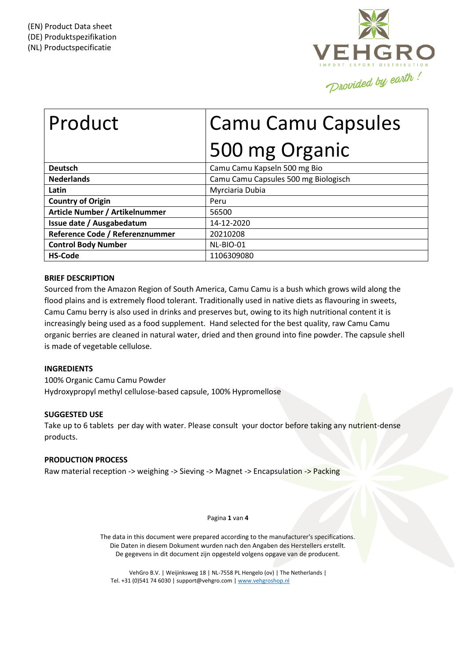

# Product | Camu Camu Capsules 500 mg Organic

| <b>Deutsch</b>                  | Camu Camu Kapseln 500 mg Bio         |
|---------------------------------|--------------------------------------|
| <b>Nederlands</b>               | Camu Camu Capsules 500 mg Biologisch |
| Latin                           | Myrciaria Dubia                      |
| <b>Country of Origin</b>        | Peru                                 |
| Article Number / Artikelnummer  | 56500                                |
| Issue date / Ausgabedatum       | 14-12-2020                           |
| Reference Code / Referenznummer | 20210208                             |
| <b>Control Body Number</b>      | NL-BIO-01                            |
| <b>HS-Code</b>                  | 1106309080                           |

# **BRIEF DESCRIPTION**

Sourced from the Amazon Region of South America, Camu Camu is a bush which grows wild along the flood plains and is extremely flood tolerant. Traditionally used in native diets as flavouring in sweets, Camu Camu berry is also used in drinks and preserves but, owing to its high nutritional content it is increasingly being used as a food supplement. Hand selected for the best quality, raw Camu Camu organic berries are cleaned in natural water, dried and then ground into fine powder. The capsule shell is made of vegetable cellulose.

# **INGREDIENTS**

100% Organic Camu Camu Powder Hydroxypropyl methyl cellulose-based capsule, 100% Hypromellose

# **SUGGESTED USE**

Take up to 6 tablets per day with water. Please consult your doctor before taking any nutrient-dense products.

# **PRODUCTION PROCESS**

Raw material reception -> weighing -> Sieving -> Magnet -> Encapsulation -> Packing

## Pagina **1** van **4**

The data in this document were prepared according to the manufacturer's specifications. Die Daten in diesem Dokument wurden nach den Angaben des Herstellers erstellt. De gegevens in dit document zijn opgesteld volgens opgave van de producent.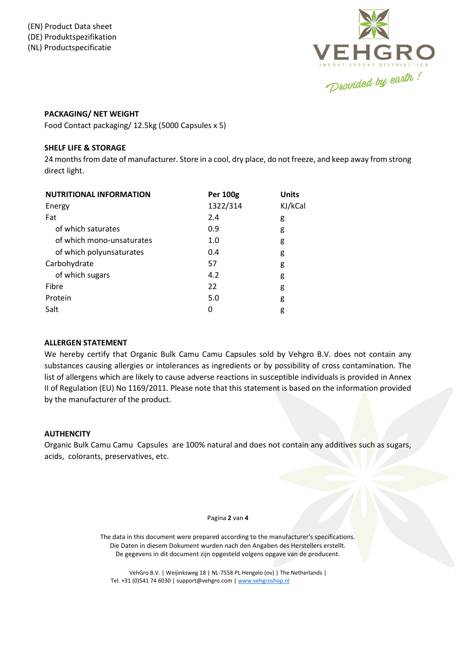

# **PACKAGING/ NET WEIGHT**

Food Contact packaging/ 12.5kg (5000 Capsules x 5)

# **SHELF LIFE & STORAGE**

24 months from date of manufacturer. Store in a cool, dry place, do not freeze, and keep away from strong direct light.

| <b>NUTRITIONAL INFORMATION</b> | <b>Per 100g</b> | <b>Units</b> |
|--------------------------------|-----------------|--------------|
| Energy                         | 1322/314        | KJ/kCal      |
| Fat                            | 2.4             | g            |
| of which saturates             | 0.9             | g            |
| of which mono-unsaturates      | 1.0             | g            |
| of which polyunsaturates       | 0.4             | g            |
| Carbohydrate                   | 57              | g            |
| of which sugars                | 4.2             | g            |
| Fibre                          | 22              | g            |
| Protein                        | 5.0             | g            |
| Salt                           | 0               | g            |

# **ALLERGEN STATEMENT**

We hereby certify that Organic Bulk Camu Camu Capsules sold by Vehgro B.V. does not contain any substances causing allergies or intolerances as ingredients or by possibility of cross contamination. The list of allergens which are likely to cause adverse reactions in susceptible individuals is provided in Annex II of Regulation (EU) No 1169/2011. Please note that this statement is based on the information provided by the manufacturer of the product.

# **AUTHENCITY**

Organic Bulk Camu Camu Capsules are 100% natural and does not contain any additives such as sugars, acids, colorants, preservatives, etc.

#### Pagina **2** van **4**

The data in this document were prepared according to the manufacturer's specifications. Die Daten in diesem Dokument wurden nach den Angaben des Herstellers erstellt. De gegevens in dit document zijn opgesteld volgens opgave van de producent.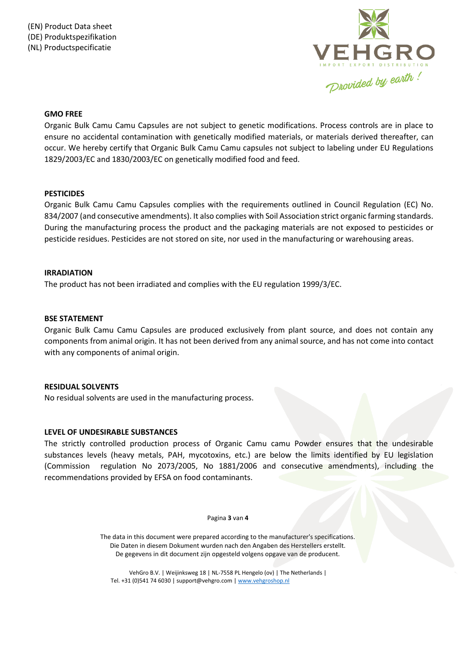

## **GMO FREE**

Organic Bulk Camu Camu Capsules are not subject to genetic modifications. Process controls are in place to ensure no accidental contamination with genetically modified materials, or materials derived thereafter, can occur. We hereby certify that Organic Bulk Camu Camu capsules not subject to labeling under EU Regulations 1829/2003/EC and 1830/2003/EC on genetically modified food and feed.

## **PESTICIDES**

Organic Bulk Camu Camu Capsules complies with the requirements outlined in Council Regulation (EC) No. 834/2007 (and consecutive amendments). It also complies with Soil Association strict organic farming standards. During the manufacturing process the product and the packaging materials are not exposed to pesticides or pesticide residues. Pesticides are not stored on site, nor used in the manufacturing or warehousing areas.

## **IRRADIATION**

The product has not been irradiated and complies with the EU regulation 1999/3/EC.

## **BSE STATEMENT**

Organic Bulk Camu Camu Capsules are produced exclusively from plant source, and does not contain any components from animal origin. It has not been derived from any animal source, and has not come into contact with any components of animal origin.

## **RESIDUAL SOLVENTS**

No residual solvents are used in the manufacturing process.

# **LEVEL OF UNDESIRABLE SUBSTANCES**

The strictly controlled production process of Organic Camu camu Powder ensures that the undesirable substances levels (heavy metals, PAH, mycotoxins, etc.) are below the limits identified by EU legislation (Commission regulation No 2073/2005, No 1881/2006 and consecutive amendments), including the recommendations provided by EFSA on food contaminants.

#### Pagina **3** van **4**

The data in this document were prepared according to the manufacturer's specifications. Die Daten in diesem Dokument wurden nach den Angaben des Herstellers erstellt. De gegevens in dit document zijn opgesteld volgens opgave van de producent.